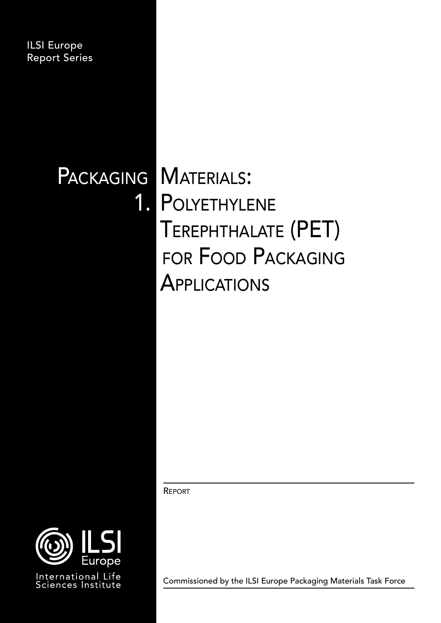ILSI Europe Report Series

# PACKAGING MATERIALS:

1. POLYETHYLENE Terephthalate (PET) for Food Packaging **APPLICATIONS** 

REPORT



Commissioned by the ILSI Europe Packaging Materials Task Force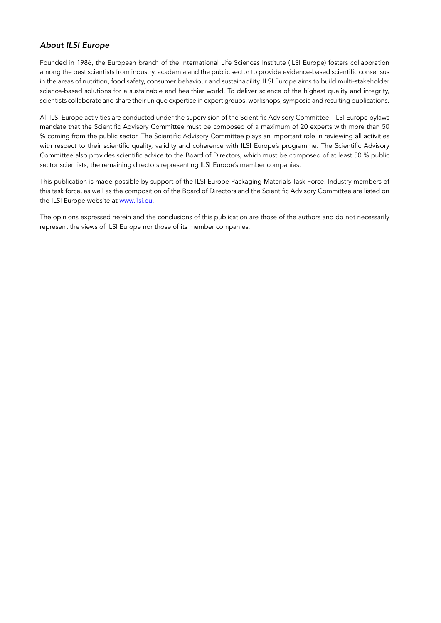#### *About ILSI Europe*

Founded in 1986, the European branch of the International Life Sciences Institute (ILSI Europe) fosters collaboration among the best scientists from industry, academia and the public sector to provide evidence-based scientific consensus in the areas of nutrition, food safety, consumer behaviour and sustainability. ILSI Europe aims to build multi-stakeholder science-based solutions for a sustainable and healthier world. To deliver science of the highest quality and integrity, scientists collaborate and share their unique expertise in expert groups, workshops, symposia and resulting publications.

All ILSI Europe activities are conducted under the supervision of the Scientific Advisory Committee. ILSI Europe bylaws mandate that the Scientific Advisory Committee must be composed of a maximum of 20 experts with more than 50 % coming from the public sector. The Scientific Advisory Committee plays an important role in reviewing all activities with respect to their scientific quality, validity and coherence with ILSI Europe's programme. The Scientific Advisory Committee also provides scientific advice to the Board of Directors, which must be composed of at least 50 % public sector scientists, the remaining directors representing ILSI Europe's member companies.

This publication is made possible by support of the ILSI Europe Packaging Materials Task Force. Industry members of this task force, as well as the composition of the Board of Directors and the Scientific Advisory Committee are listed on the ILSI Europe website at [www.ilsi.eu.](http://www.ilsi.eu)

The opinions expressed herein and the conclusions of this publication are those of the authors and do not necessarily represent the views of ILSI Europe nor those of its member companies.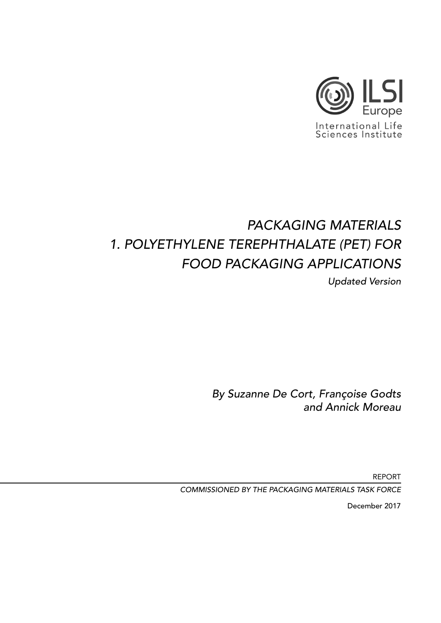

## *PACKAGING MATERIALS 1. POLYETHYLENE TEREPHTHALATE (PET) FOR FOOD PACKAGING APPLICATIONS*

*Updated Version*

*By Suzanne De Cort, Françoise Godts and Annick Moreau*

REPORT

*COMMISSIONED BY THE PACKAGING MATERIALS TASK FORCE*

December 2017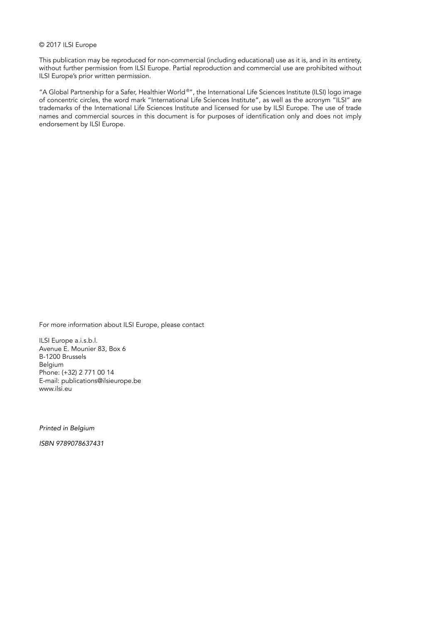#### © 2017 ILSI Europe

This publication may be reproduced for non-commercial (including educational) use as it is, and in its entirety, without further permission from ILSI Europe. Partial reproduction and commercial use are prohibited without ILSI Europe's prior written permission.

"A Global Partnership for a Safer, Healthier World ®", the International Life Sciences Institute (ILSI) logo image of concentric circles, the word mark "International Life Sciences Institute", as well as the acronym "ILSI" are trademarks of the International Life Sciences Institute and licensed for use by ILSI Europe. The use of trade names and commercial sources in this document is for purposes of identification only and does not imply endorsement by ILSI Europe.

For more information about ILSI Europe, please contact

ILSI Europe a.i.s.b.l. Avenue E. Mounier 83, Box 6 B-1200 Brussels Belgium Phone: (+32) 2 771 00 14 E-mail: publications@ilsieurope.be www.ilsi.eu

*Printed in Belgium*

*ISBN 9789078637431*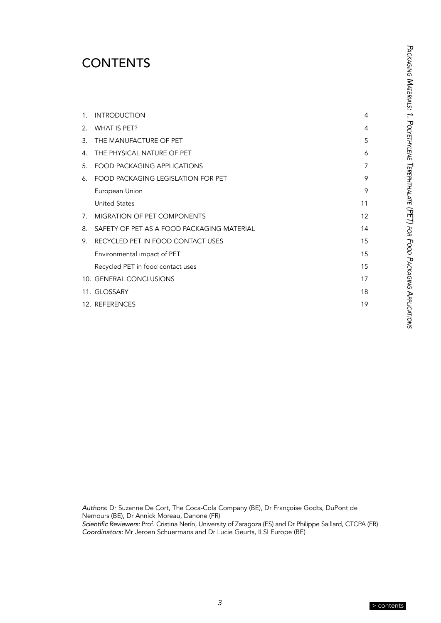## <span id="page-4-0"></span>**CONTENTS**

| $1_{-}$ | <b>INTRODUCTION</b>                        | 4  |
|---------|--------------------------------------------|----|
| 2.      | WHAT IS PET?                               | 4  |
|         | 3. THE MANUFACTURE OF PET                  | 5  |
| 4.      | THE PHYSICAL NATURE OF PET                 | 6  |
| 5.      | <b>FOOD PACKAGING APPLICATIONS</b>         | 7  |
| 6.      | FOOD PACKAGING LEGISLATION FOR PET         | 9  |
|         | European Union                             | 9  |
|         | <b>United States</b>                       | 11 |
| 7.      | <b>MIGRATION OF PET COMPONENTS</b>         | 12 |
| 8.      | SAFETY OF PET AS A FOOD PACKAGING MATERIAL | 14 |
| 9.      | RECYCLED PET IN FOOD CONTACT USES          | 15 |
|         | Environmental impact of PET                | 15 |
|         | Recycled PET in food contact uses          | 15 |
|         | 10. GENERAL CONCLUSIONS                    | 17 |
|         | 11. GLOSSARY                               | 18 |
|         | 12. REFERENCES                             | 19 |

PACKAGING MATERIALS: 1. POLYETHYLENE TEREPHTHALATE (PET) FOR FOOD PACKAGING APPLICATIONS *Packaging Materials: 1. Polyethylene Terephthalate (PET) for Food Packaging Applications*

*Authors:* Dr Suzanne De Cort, The Coca-Cola Company (BE), Dr Françoise Godts, DuPont de Nemours (BE), Dr Annick Moreau, Danone (FR) Scientific Reviewers: Prof. Cristina Nerín, University of Zaragoza (ES) and Dr Philippe Saillard, CTCPA (FR) *Coordinators:* Mr Jeroen Schuermans and Dr Lucie Geurts, ILSI Europe (BE)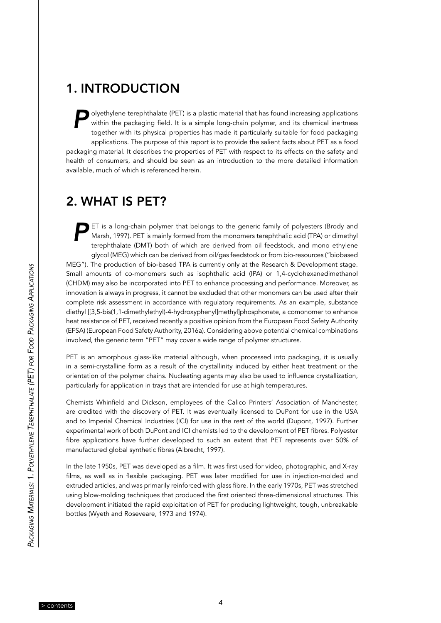## <span id="page-5-0"></span>1. INTRODUCTION

**Polyethylene terephthalate (PET) is a plastic material that has found increasing applications**<br>within the packaging field. It is a simple long-chain polymer, and its chemical inertness<br>together with its physical propertie within the packaging field. It is a simple long-chain polymer, and its chemical inertness together with its physical properties has made it particularly suitable for food packaging applications. The purpose of this report is to provide the salient facts about PET as a food packaging material. It describes the properties of PET with respect to its effects on the safety and health of consumers, and should be seen as an introduction to the more detailed information available, much of which is referenced herein.

## 2. WHAT IS PET?

**PET** is a long-chain polymer that belongs to the generic family of polyesters (Brody and Marsh, 1997). PET is mainly formed from the monomers terephthalic acid (TPA) or dimethyl terephthalate (DMT) both of which are deriv Marsh, 1997). PET is mainly formed from the monomers terephthalic acid (TPA) or dimethyl terephthalate (DMT) both of which are derived from oil feedstock, and mono ethylene glycol (MEG) which can be derived from oil/gas feedstock or from bio-resources ("biobased MEG"). The production of bio-based TPA is currently only at the Research & Development stage. Small amounts of co-monomers such as isophthalic acid (IPA) or 1,4-cyclohexanedimethanol (CHDM) may also be incorporated into PET to enhance processing and performance. Moreover, as innovation is always in progress, it cannot be excluded that other monomers can be used after their complete risk assessment in accordance with regulatory requirements. As an example, substance diethyl [[3,5-bis(1,1-dimethylethyl)-4-hydroxyphenyl]methyl]phosphonate, a comonomer to enhance heat resistance of PET, received recently a positive opinion from the European Food Safety Authority (EFSA) (European Food Safety Authority, 2016a). Considering above potential chemical combinations involved, the generic term "PET" may cover a wide range of polymer structures.

PET is an amorphous glass-like material although, when processed into packaging, it is usually in a semi-crystalline form as a result of the crystallinity induced by either heat treatment or the orientation of the polymer chains. Nucleating agents may also be used to influence crystallization, particularly for application in trays that are intended for use at high temperatures.

Chemists Whinfield and Dickson, employees of the Calico Printers' Association of Manchester, are credited with the discovery of PET. It was eventually licensed to DuPont for use in the USA and to Imperial Chemical Industries (ICI) for use in the rest of the world (Dupont, 1997). Further experimental work of both DuPont and ICI chemists led to the development of PET fibres. Polyester fibre applications have further developed to such an extent that PET represents over 50% of manufactured global synthetic fibres (Albrecht, 1997).

In the late 1950s, PET was developed as a film. It was first used for video, photographic, and X-ray films, as well as in flexible packaging. PET was later modified for use in injection-molded and extruded articles, and was primarily reinforced with glass fibre. In the early 1970s, PET was stretched using blow-molding techniques that produced the first oriented three-dimensional structures. This development initiated the rapid exploitation of PET for producing lightweight, tough, unbreakable bottles (Wyeth and Roseveare, 1973 and 1974).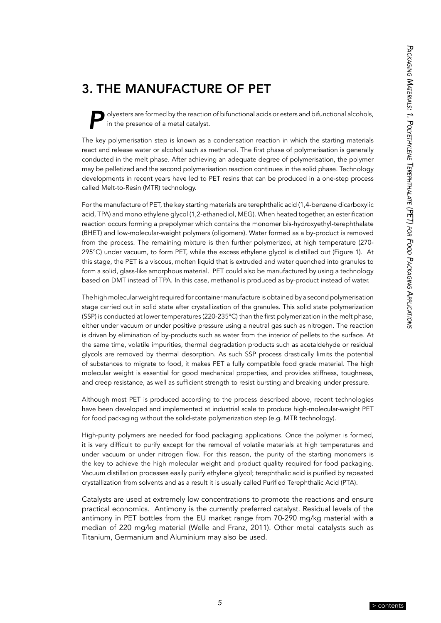## <span id="page-6-0"></span>3. THE MANUFACTURE OF PET

*P*olyesters are formed by the reaction of bifunctional acids or esters and bifunctional alcohols, in the presence of a metal catalyst.

The key polymerisation step is known as a condensation reaction in which the starting materials react and release water or alcohol such as methanol. The first phase of polymerisation is generally conducted in the melt phase. After achieving an adequate degree of polymerisation, the polymer may be pelletized and the second polymerisation reaction continues in the solid phase. Technology developments in recent years have led to PET resins that can be produced in a one-step process called Melt-to-Resin (MTR) technology.

For the manufacture of PET, the key starting materials are terephthalic acid (1,4-benzene dicarboxylic acid, TPA) and mono ethylene glycol (1,2-ethanediol, MEG). When heated together, an esterification reaction occurs forming a prepolymer which contains the monomer bis-hydroxyethyl-terephthalate (BHET) and low-molecular-weight polymers (oligomers). Water formed as a by-product is removed from the process. The remaining mixture is then further polymerized, at high temperature (270- 295°C) under vacuum, to form PET, while the excess ethylene glycol is distilled out (Figure 1). At this stage, the PET is a viscous, molten liquid that is extruded and water quenched into granules to form a solid, glass-like amorphous material. PET could also be manufactured by using a technology based on DMT instead of TPA. In this case, methanol is produced as by-product instead of water.

The high molecular weight required for container manufacture is obtained by a second polymerisation stage carried out in solid state after crystallization of the granules. This solid state polymerization (SSP) is conducted at lower temperatures (220-235°C) than the first polymerization in the melt phase, either under vacuum or under positive pressure using a neutral gas such as nitrogen. The reaction is driven by elimination of by-products such as water from the interior of pellets to the surface. At the same time, volatile impurities, thermal degradation products such as acetaldehyde or residual glycols are removed by thermal desorption. As such SSP process drastically limits the potential of substances to migrate to food, it makes PET a fully compatible food grade material. The high molecular weight is essential for good mechanical properties, and provides stiffness, toughness, and creep resistance, as well as sufficient strength to resist bursting and breaking under pressure.

Although most PET is produced according to the process described above, recent technologies have been developed and implemented at industrial scale to produce high-molecular-weight PET for food packaging without the solid-state polymerization step (e.g. MTR technology).

High-purity polymers are needed for food packaging applications. Once the polymer is formed, it is very difficult to purify except for the removal of volatile materials at high temperatures and under vacuum or under nitrogen flow. For this reason, the purity of the starting monomers is the key to achieve the high molecular weight and product quality required for food packaging. Vacuum distillation processes easily purify ethylene glycol; terephthalic acid is purified by repeated crystallization from solvents and as a result it is usually called Purified Terephthalic Acid (PTA).

Catalysts are used at extremely low concentrations to promote the reactions and ensure practical economics. Antimony is the currently preferred catalyst. Residual levels of the antimony in PET bottles from the EU market range from 70-290 mg/kg material with a median of 220 mg/kg material (Welle and Franz, 2011). Other metal catalysts such as Titanium, Germanium and Aluminium may also be used.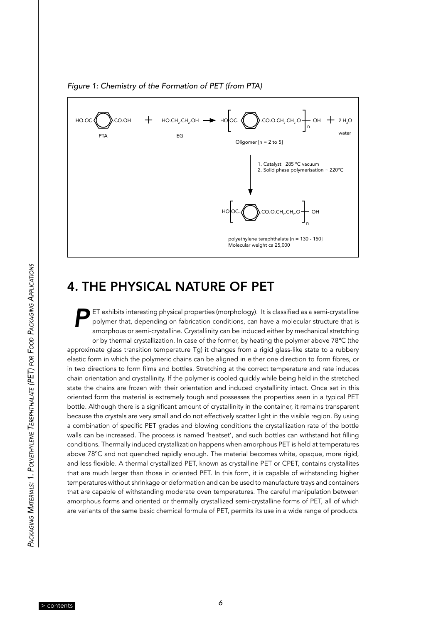<span id="page-7-0"></span>



## 4. THE PHYSICAL NATURE OF PET

*P*ET exhibits interesting physical properties (morphology). It is classified as a semi-crystalline polymer that, depending on fabrication conditions, can have a molecular structure that is amorphous or semi-crystalline. Crystallinity can be induced either by mechanical stretching or by thermal crystallization. In case of the former, by heating the polymer above 78ºC (the approximate glass transition temperature Tg) it changes from a rigid glass-like state to a rubbery elastic form in which the polymeric chains can be aligned in either one direction to form fibres, or in two directions to form films and bottles. Stretching at the correct temperature and rate induces chain orientation and crystallinity. If the polymer is cooled quickly while being held in the stretched state the chains are frozen with their orientation and induced crystallinity intact. Once set in this oriented form the material is extremely tough and possesses the properties seen in a typical PET bottle. Although there is a significant amount of crystallinity in the container, it remains transparent because the crystals are very small and do not effectively scatter light in the visible region. By using a combination of specific PET grades and blowing conditions the crystallization rate of the bottle walls can be increased. The process is named 'heatset', and such bottles can withstand hot filling conditions. Thermally induced crystallization happens when amorphous PET is held at temperatures above 78ºC and not quenched rapidly enough. The material becomes white, opaque, more rigid, and less flexible. A thermal crystallized PET, known as crystalline PET or CPET, contains crystallites that are much larger than those in oriented PET. In this form, it is capable of withstanding higher temperatures without shrinkage or deformation and can be used to manufacture trays and containers that are capable of withstanding moderate oven temperatures. The careful manipulation between amorphous forms and oriented or thermally crystallized semi-crystalline forms of PET, all of which are variants of the same basic chemical formula of PET, permits its use in a wide range of products.

*6* [> contents](#page-4-0)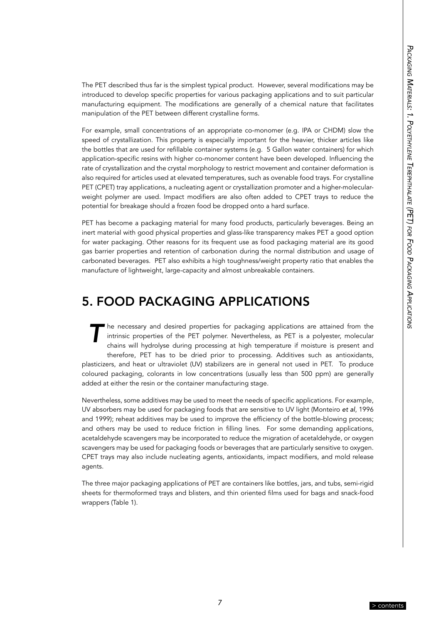<span id="page-8-0"></span>The PET described thus far is the simplest typical product. However, several modifications may be introduced to develop specific properties for various packaging applications and to suit particular manufacturing equipment. The modifications are generally of a chemical nature that facilitates manipulation of the PET between different crystalline forms.

For example, small concentrations of an appropriate co-monomer (e.g. IPA or CHDM) slow the speed of crystallization. This property is especially important for the heavier, thicker articles like the bottles that are used for refillable container systems (e.g. 5 Gallon water containers) for which application-specific resins with higher co-monomer content have been developed. Influencing the rate of crystallization and the crystal morphology to restrict movement and container deformation is also required for articles used at elevated temperatures, such as ovenable food trays. For crystalline PET (CPET) tray applications, a nucleating agent or crystallization promoter and a higher-molecularweight polymer are used. Impact modifiers are also often added to CPET trays to reduce the potential for breakage should a frozen food be dropped onto a hard surface.

PET has become a packaging material for many food products, particularly beverages. Being an inert material with good physical properties and glass-like transparency makes PET a good option for water packaging. Other reasons for its frequent use as food packaging material are its good gas barrier properties and retention of carbonation during the normal distribution and usage of carbonated beverages. PET also exhibits a high toughness/weight property ratio that enables the manufacture of lightweight, large-capacity and almost unbreakable containers.

## 5. FOOD PACKAGING APPLICATIONS

he necessary and desired properties for packaging applications are attained from the intrinsic properties of the PET polymer. Nevertheless, as PET is a polyester, molecular chains will hydrolyse during processing at high temperature if moisture is present and therefore, PET has to be dried prior to processing. Additives such as antioxidants, plasticizers, and heat or ultraviolet (UV) stabilizers are in general not used in PET. To produce coloured packaging, colorants in low concentrations (usually less than 500 ppm) are generally added at either the resin or the container manufacturing stage.

Nevertheless, some additives may be used to meet the needs of specific applications. For example, UV absorbers may be used for packaging foods that are sensitive to UV light (Monteiro *et al*, 1996 and 1999); reheat additives may be used to improve the efficiency of the bottle-blowing process; and others may be used to reduce friction in filling lines. For some demanding applications, acetaldehyde scavengers may be incorporated to reduce the migration of acetaldehyde, or oxygen scavengers may be used for packaging foods or beverages that are particularly sensitive to oxygen. CPET trays may also include nucleating agents, antioxidants, impact modifiers, and mold release agents.

The three major packaging applications of PET are containers like bottles, jars, and tubs, semi-rigid sheets for thermoformed trays and blisters, and thin oriented films used for bags and snack-food wrappers (Table 1).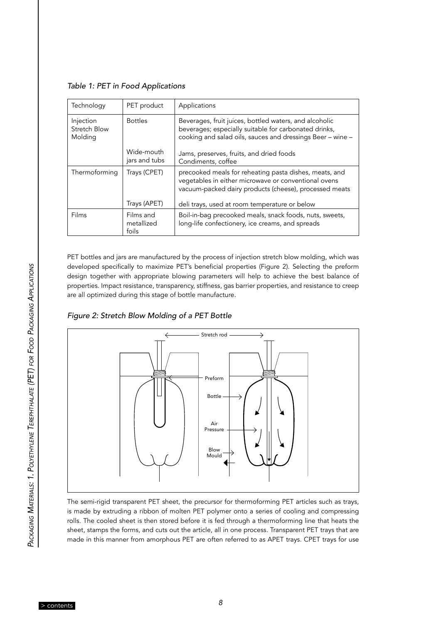|  |  |  |  |  |  | Table 1: PET in Food Applications |
|--|--|--|--|--|--|-----------------------------------|
|--|--|--|--|--|--|-----------------------------------|

| Technology                           | PET product                      | Applications                                                                                                                                                                  |
|--------------------------------------|----------------------------------|-------------------------------------------------------------------------------------------------------------------------------------------------------------------------------|
| Injection<br>Stretch Blow<br>Molding | <b>Bottles</b>                   | Beverages, fruit juices, bottled waters, and alcoholic<br>beverages; especially suitable for carbonated drinks,<br>cooking and salad oils, sauces and dressings Beer - wine - |
|                                      | Wide-mouth<br>jars and tubs      | Jams, preserves, fruits, and dried foods<br>Condiments, coffee                                                                                                                |
| Thermoforming                        | Trays (CPET)                     | precooked meals for reheating pasta dishes, meats, and<br>vegetables in either microwave or conventional ovens<br>vacuum-packed dairy products (cheese), processed meats      |
|                                      | Trays (APET)                     | deli trays, used at room temperature or below                                                                                                                                 |
| Films                                | Films and<br>metallized<br>foils | Boil-in-bag precooked meals, snack foods, nuts, sweets,<br>long-life confectionery, ice creams, and spreads                                                                   |

PET bottles and jars are manufactured by the process of injection stretch blow molding, which was developed specifically to maximize PET's beneficial properties (Figure 2). Selecting the preform design together with appropriate blowing parameters will help to achieve the best balance of properties. Impact resistance, transparency, stiffness, gas barrier properties, and resistance to creep are all optimized during this stage of bottle manufacture.

*Figure 2: Stretch Blow Molding of a PET Bottle*



The semi-rigid transparent PET sheet, the precursor for thermoforming PET articles such as trays, is made by extruding a ribbon of molten PET polymer onto a series of cooling and compressing rolls. The cooled sheet is then stored before it is fed through a thermoforming line that heats the sheet, stamps the forms, and cuts out the article, all in one process. Transparent PET trays that are made in this manner from amorphous PET are often referred to as APET trays. CPET trays for use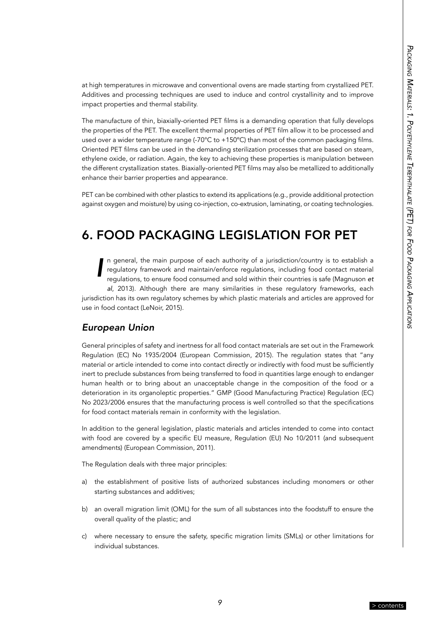<span id="page-10-0"></span>at high temperatures in microwave and conventional ovens are made starting from crystallized PET. Additives and processing techniques are used to induce and control crystallinity and to improve impact properties and thermal stability.

The manufacture of thin, biaxially-oriented PET films is a demanding operation that fully develops the properties of the PET. The excellent thermal properties of PET film allow it to be processed and used over a wider temperature range (-70°C to +150°C) than most of the common packaging films. Oriented PET films can be used in the demanding sterilization processes that are based on steam, ethylene oxide, or radiation. Again, the key to achieving these properties is manipulation between the different crystallization states. Biaxially-oriented PET films may also be metallized to additionally enhance their barrier properties and appearance.

PET can be combined with other plastics to extend its applications (e.g., provide additional protection against oxygen and moisture) by using co-injection, co-extrusion, laminating, or coating technologies.

## 6. FOOD PACKAGING LEGISLATION FOR PET

*I* n general, the main purpose of each authority of a jurisdiction/country is to establish a regulatory framework and maintain/enforce regulations, including food contact material regulations, to ensure food consumed and sold within their countries is safe (Magnuson *et al*, 2013). Although there are many similarities in these regulatory frameworks, each jurisdiction has its own regulatory schemes by which plastic materials and articles are approved for use in food contact (LeNoir, 2015).

#### *European Union*

General principles of safety and inertness for all food contact materials are set out in the Framework Regulation (EC) No 1935/2004 (European Commission, 2015). The regulation states that "any material or article intended to come into contact directly or indirectly with food must be sufficiently inert to preclude substances from being transferred to food in quantities large enough to endanger human health or to bring about an unacceptable change in the composition of the food or a deterioration in its organoleptic properties." GMP (Good Manufacturing Practice) Regulation (EC) No 2023/2006 ensures that the manufacturing process is well controlled so that the specifications for food contact materials remain in conformity with the legislation.

In addition to the general legislation, plastic materials and articles intended to come into contact with food are covered by a specific EU measure, Regulation (EU) No 10/2011 (and subsequent amendments) (European Commission, 2011).

The Regulation deals with three major principles:

- a) the establishment of positive lists of authorized substances including monomers or other starting substances and additives;
- b) an overall migration limit (OML) for the sum of all substances into the foodstuff to ensure the overall quality of the plastic; and
- c) where necessary to ensure the safety, specific migration limits (SMLs) or other limitations for individual substances.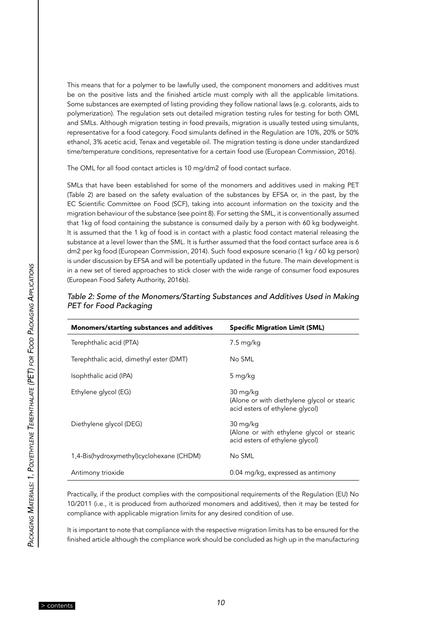This means that for a polymer to be lawfully used, the component monomers and additives must be on the positive lists and the finished article must comply with all the applicable limitations. Some substances are exempted of listing providing they follow national laws (e.g. colorants, aids to polymerization). The regulation sets out detailed migration testing rules for testing for both OML and SMLs. Although migration testing in food prevails, migration is usually tested using simulants, representative for a food category. Food simulants defined in the Regulation are 10%, 20% or 50% ethanol, 3% acetic acid, Tenax and vegetable oil. The migration testing is done under standardized time/temperature conditions, representative for a certain food use (European Commission, 2016).

The OML for all food contact articles is 10 mg/dm2 of food contact surface.

SMLs that have been established for some of the monomers and additives used in making PET (Table 2) are based on the safety evaluation of the substances by EFSA or, in the past, by the EC Scientific Committee on Food (SCF), taking into account information on the toxicity and the migration behaviour of the substance (see point 8). For setting the SML, it is conventionally assumed that 1kg of food containing the substance is consumed daily by a person with 60 kg bodyweight. It is assumed that the 1 kg of food is in contact with a plastic food contact material releasing the substance at a level lower than the SML. It is further assumed that the food contact surface area is 6 dm2 per kg food (European Commission, 2014). Such food exposure scenario (1 kg / 60 kg person) is under discussion by EFSA and will be potentially updated in the future. The main development is in a new set of tiered approaches to stick closer with the wide range of consumer food exposures (European Food Safety Authority, 2016b).

| Monomers/starting substances and additives | <b>Specific Migration Limit (SML)</b>                                                      |
|--------------------------------------------|--------------------------------------------------------------------------------------------|
| Terephthalic acid (PTA)                    | 7.5 mg/kg                                                                                  |
| Terephthalic acid, dimethyl ester (DMT)    | No SML                                                                                     |
| Isophthalic acid (IPA)                     | 5 mg/kg                                                                                    |
| Ethylene glycol (EG)                       | 30 mg/kg<br>(Alone or with diethylene glycol or stearic<br>acid esters of ethylene glycol) |
| Diethylene glycol (DEG)                    | 30 mg/kg<br>(Alone or with ethylene glycol or stearic<br>acid esters of ethylene glycol)   |
| 1,4-Bis(hydroxymethyl)cyclohexane (CHDM)   | No SML                                                                                     |
| Antimony trioxide                          | 0.04 mg/kg, expressed as antimony                                                          |

| Table 2: Some of the Monomers/Starting Substances and Additives Used in Making |
|--------------------------------------------------------------------------------|
| PET for Food Packaging                                                         |

Practically, if the product complies with the compositional requirements of the Regulation (EU) No 10/2011 (i.e., it is produced from authorized monomers and additives), then it may be tested for compliance with applicable migration limits for any desired condition of use.

It is important to note that compliance with the respective migration limits has to be ensured for the finished article although the compliance work should be concluded as high up in the manufacturing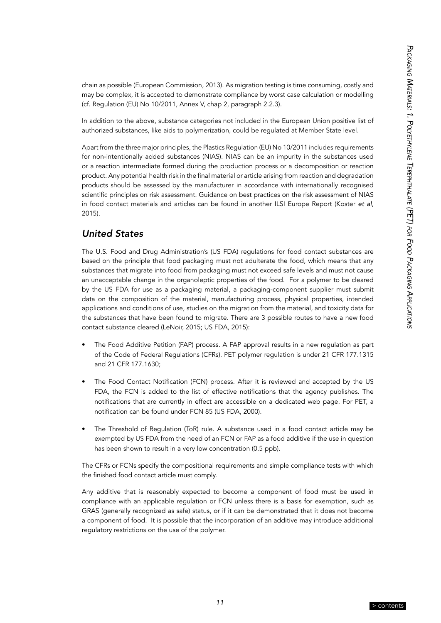<span id="page-12-0"></span>chain as possible (European Commission, 2013). As migration testing is time consuming, costly and may be complex, it is accepted to demonstrate compliance by worst case calculation or modelling (cf. Regulation (EU) No 10/2011, Annex V, chap 2, paragraph 2.2.3).

In addition to the above, substance categories not included in the European Union positive list of authorized substances, like aids to polymerization, could be regulated at Member State level.

Apart from the three major principles, the Plastics Regulation (EU) No 10/2011 includes requirements for non-intentionally added substances (NIAS). NIAS can be an impurity in the substances used or a reaction intermediate formed during the production process or a decomposition or reaction product. Any potential health risk in the final material or article arising from reaction and degradation products should be assessed by the manufacturer in accordance with internationally recognised scientific principles on risk assessment. Guidance on best practices on the risk assessment of NIAS in food contact materials and articles can be found in another ILSI Europe Report (Koster *et al*, 2015).

#### *United States*

The U.S. Food and Drug Administration's (US FDA) regulations for food contact substances are based on the principle that food packaging must not adulterate the food, which means that any substances that migrate into food from packaging must not exceed safe levels and must not cause an unacceptable change in the organoleptic properties of the food. For a polymer to be cleared by the US FDA for use as a packaging material, a packaging-component supplier must submit data on the composition of the material, manufacturing process, physical properties, intended applications and conditions of use, studies on the migration from the material, and toxicity data for the substances that have been found to migrate. There are 3 possible routes to have a new food contact substance cleared (LeNoir, 2015; US FDA, 2015):

- The Food Additive Petition (FAP) process. A FAP approval results in a new regulation as part of the Code of Federal Regulations (CFRs). PET polymer regulation is under 21 CFR 177.1315 and 21 CFR 177.1630;
- The Food Contact Notification (FCN) process. After it is reviewed and accepted by the US FDA, the FCN is added to the list of effective notifications that the agency publishes. The notifications that are currently in effect are accessible on a dedicated web page. For PET, a notification can be found under FCN 85 (US FDA, 2000).
- The Threshold of Regulation (ToR) rule. A substance used in a food contact article may be exempted by US FDA from the need of an FCN or FAP as a food additive if the use in question has been shown to result in a very low concentration (0.5 ppb).

The CFRs or FCNs specify the compositional requirements and simple compliance tests with which the finished food contact article must comply.

Any additive that is reasonably expected to become a component of food must be used in compliance with an applicable regulation or FCN unless there is a basis for exemption, such as GRAS (generally recognized as safe) status, or if it can be demonstrated that it does not become a component of food. It is possible that the incorporation of an additive may introduce additional regulatory restrictions on the use of the polymer.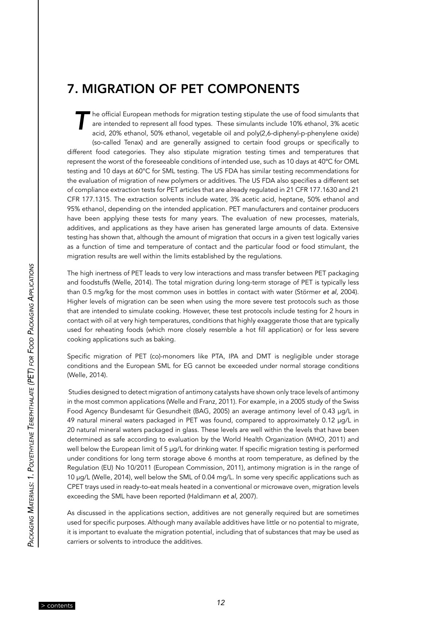## <span id="page-13-0"></span>7. MIGRATION OF PET COMPONENTS

*T* he official European methods for migration testing stipulate the use of food simulants that are intended to represent all food types. These simulants include 10% ethanol, 3% acetic acid, 20% ethanol, 50% ethanol, vegetable oil and poly(2,6-diphenyl-p-phenylene oxide) (so-called Tenax) and are generally assigned to certain food groups or specifically to different food categories. They also stipulate migration testing times and temperatures that represent the worst of the foreseeable conditions of intended use, such as 10 days at 40ºC for OML testing and 10 days at 60°C for SML testing. The US FDA has similar testing recommendations for the evaluation of migration of new polymers or additives. The US FDA also specifies a different set of compliance extraction tests for PET articles that are already regulated in 21 CFR 177.1630 and 21 CFR 177.1315. The extraction solvents include water, 3% acetic acid, heptane, 50% ethanol and 95% ethanol, depending on the intended application. PET manufacturers and container producers have been applying these tests for many years. The evaluation of new processes, materials, additives, and applications as they have arisen has generated large amounts of data. Extensive testing has shown that, although the amount of migration that occurs in a given test logically varies as a function of time and temperature of contact and the particular food or food stimulant, the migration results are well within the limits established by the regulations.

The high inertness of PET leads to very low interactions and mass transfer between PET packaging and foodstuffs (Welle, 2014). The total migration during long-term storage of PET is typically less than 0.5 mg/kg for the most common uses in bottles in contact with water (Störmer *et al*, 2004). Higher levels of migration can be seen when using the more severe test protocols such as those that are intended to simulate cooking. However, these test protocols include testing for 2 hours in contact with oil at very high temperatures, conditions that highly exaggerate those that are typically used for reheating foods (which more closely resemble a hot fill application) or for less severe cooking applications such as baking.

Specific migration of PET (co)-monomers like PTA, IPA and DMT is negligible under storage conditions and the European SML for EG cannot be exceeded under normal storage conditions (Welle, 2014).

 Studies designed to detect migration of antimony catalysts have shown only trace levels of antimony in the most common applications (Welle and Franz, 2011). For example, in a 2005 study of the Swiss Food Agency Bundesamt für Gesundheit (BAG, 2005) an average antimony level of 0.43 µg/L in 49 natural mineral waters packaged in PET was found, compared to approximately 0.12 µg/L in 20 natural mineral waters packaged in glass. These levels are well within the levels that have been determined as safe according to evaluation by the World Health Organization (WHO, 2011) and well below the European limit of 5 µg/L for drinking water. If specific migration testing is performed under conditions for long term storage above 6 months at room temperature, as defined by the Regulation (EU) No 10/2011 (European Commission, 2011), antimony migration is in the range of 10 µg/L (Welle, 2014), well below the SML of 0.04 mg/L. In some very specific applications such as CPET trays used in ready-to-eat meals heated in a conventional or microwave oven, migration levels exceeding the SML have been reported (Haldimann *et al*, 2007).

As discussed in the applications section, additives are not generally required but are sometimes used for specific purposes. Although many available additives have little or no potential to migrate, it is important to evaluate the migration potential, including that of substances that may be used as carriers or solvents to introduce the additives.

*12* [> contents](#page-4-0)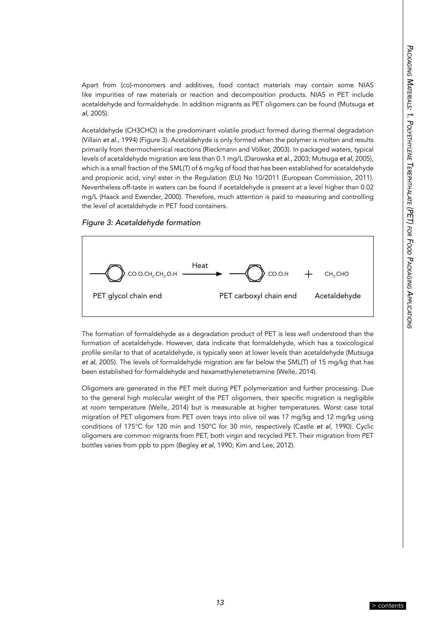Apart from (co)-monomers and additives, food contact materials may contain some NIAS like impurities of raw materials or reaction and decomposition products. NIAS in PET include acetaldehyde and formaldehyde. In addition migrants as PET oligomers can be found (Mutsuga *et al*, 2005).

Acetaldehyde (CH3CHO) is the predominant volatile product formed during thermal degradation (Villain *et al*., 1994) (Figure 3). Acetaldehyde is only formed when the polymer is molten and results primarily from thermochemical reactions (Rieckmann and Völker, 2003). In packaged waters, typical levels of acetaldehyde migration are less than 0.1 mg/L (Darowska *et al.*, 2003; Mutsuga *et al*, 2005), which is a small fraction of the SML(T) of 6 mg/kg of food that has been established for acetaldehyde and propionic acid, vinyl ester in the Regulation (EU) No 10/2011 (European Commission, 2011). Nevertheless off-taste in waters can be found if acetaldehyde is present at a level higher than 0.02 mg/L (Haack and Ewender, 2000). Therefore, much attention is paid to measuring and controlling the level of acetaldehyde in PET food containers.

*Figure 3: Acetaldehyde formation*



The formation of formaldehyde as a degradation product of PET is less well understood than the formation of acetaldehyde. However, data indicate that formaldehyde, which has a toxicological profile similar to that of acetaldehyde, is typically seen at lower levels than acetaldehyde (Mutsuga *et al*, 2005). The levels of formaldehyde migration are far below the SML(T) of 15 mg/kg that has been established for formaldehyde and hexamethylenetetramine (Welle, 2014).

Oligomers are generated in the PET melt during PET polymerization and further processing. Due to the general high molecular weight of the PET oligomers, their specific migration is negligible at room temperature (Welle, 2014) but is measurable at higher temperatures. Worst case total migration of PET oligomers from PET oven trays into olive oil was 17 mg/kg and 12 mg/kg using conditions of 175°C for 120 min and 150°C for 30 min, respectively (Castle *et al*, 1990). Cyclic oligomers are common migrants from PET, both virgin and recycled PET. Their migration from PET bottles varies from ppb to ppm (Begley *et al*, 1990; Kim and Lee, 2012).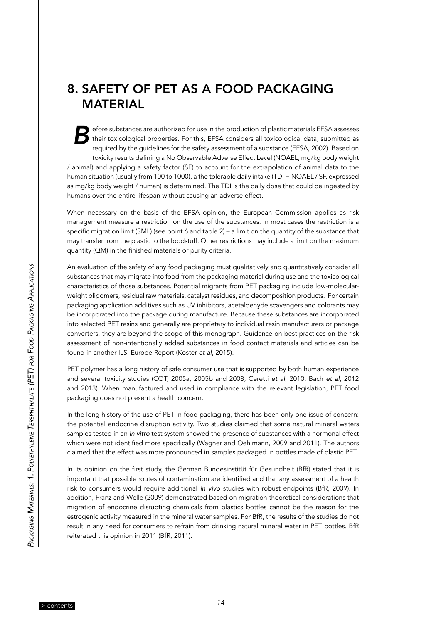## <span id="page-15-0"></span>8. SAFETY OF PET AS A FOOD PACKAGING MATERIAL

efore substances are authorized for use in the production of plastic materials EFSA assesses their toxicological properties. For this, EFSA considers all toxicological data, submitted as required by the guidelines for the safety assessment of a substance (EFSA, 2002). Based on toxicity results defining a No Observable Adverse Effect Level (NOAEL, mg/kg body weight / animal) and applying a safety factor (SF) to account for the extrapolation of animal data to the human situation (usually from 100 to 1000), a the tolerable daily intake (TDI = NOAEL / SF, expressed as mg/kg body weight / human) is determined. The TDI is the daily dose that could be ingested by humans over the entire lifespan without causing an adverse effect.

When necessary on the basis of the EFSA opinion, the European Commission applies as risk management measure a restriction on the use of the substances. In most cases the restriction is a specific migration limit (SML) (see point 6 and table 2) – a limit on the quantity of the substance that may transfer from the plastic to the foodstuff. Other restrictions may include a limit on the maximum quantity (QM) in the finished materials or purity criteria.

An evaluation of the safety of any food packaging must qualitatively and quantitatively consider all substances that may migrate into food from the packaging material during use and the toxicological characteristics of those substances. Potential migrants from PET packaging include low-molecularweight oligomers, residual raw materials, catalyst residues, and decomposition products. For certain packaging application additives such as UV inhibitors, acetaldehyde scavengers and colorants may be incorporated into the package during manufacture. Because these substances are incorporated into selected PET resins and generally are proprietary to individual resin manufacturers or package converters, they are beyond the scope of this monograph. Guidance on best practices on the risk assessment of non-intentionally added substances in food contact materials and articles can be found in another ILSI Europe Report (Koster *et al*, 2015).

PET polymer has a long history of safe consumer use that is supported by both human experience and several toxicity studies (COT, 2005a, 2005b and 2008; Ceretti *et al*, 2010; Bach *et al*, 2012 and 2013). When manufactured and used in compliance with the relevant legislation, PET food packaging does not present a health concern.

In the long history of the use of PET in food packaging, there has been only one issue of concern: the potential endocrine disruption activity. Two studies claimed that some natural mineral waters samples tested in an in vitro test system showed the presence of substances with a hormonal effect which were not identified more specifically (Wagner and Oehlmann, 2009 and 2011). The authors claimed that the effect was more pronounced in samples packaged in bottles made of plastic PET.

In its opinion on the first study, the German Bundesinstitüt für Gesundheit (BfR) stated that it is important that possible routes of contamination are identified and that any assessment of a health risk to consumers would require additional in vivo studies with robust endpoints (BfR, 2009). In addition, Franz and Welle (2009) demonstrated based on migration theoretical considerations that migration of endocrine disrupting chemicals from plastics bottles cannot be the reason for the estrogenic activity measured in the mineral water samples. For BfR, the results of the studies do not result in any need for consumers to refrain from drinking natural mineral water in PET bottles. BfR reiterated this opinion in 2011 (BfR, 2011).

*14* [> contents](#page-4-0)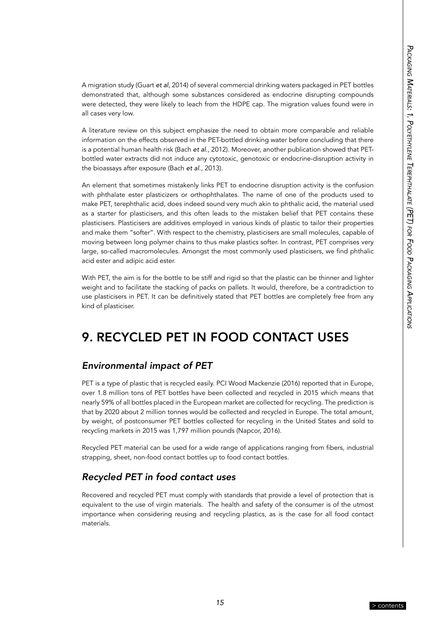<span id="page-16-0"></span>A migration study (Guart *et al*, 2014) of several commercial drinking waters packaged in PET bottles demonstrated that, although some substances considered as endocrine disrupting compounds were detected, they were likely to leach from the HDPE cap. The migration values found were in all cases very low.

A literature review on this subject emphasize the need to obtain more comparable and reliable information on the effects observed in the PET-bottled drinking water before concluding that there is a potential human health risk (Bach *et al*., 2012). Moreover, another publication showed that PETbottled water extracts did not induce any cytotoxic, genotoxic or endocrine-disruption activity in the bioassays after exposure (Bach *et al*., 2013).

An element that sometimes mistakenly links PET to endocrine disruption activity is the confusion with phthalate ester plasticizers or orthophthalates. The name of one of the products used to make PET, terephthalic acid, does indeed sound very much akin to phthalic acid, the material used as a starter for plasticisers, and this often leads to the mistaken belief that PET contains these plasticisers. Plasticisers are additives employed in various kinds of plastic to tailor their properties and make them "softer". With respect to the chemistry, plasticisers are small molecules, capable of moving between long polymer chains to thus make plastics softer. In contrast, PET comprises very large, so-called macromolecules. Amongst the most commonly used plasticisers, we find phthalic acid ester and adipic acid ester.

With PET, the aim is for the bottle to be stiff and rigid so that the plastic can be thinner and lighter weight and to facilitate the stacking of packs on pallets. It would, therefore, be a contradiction to use plasticisers in PET. It can be definitively stated that PET bottles are completely free from any kind of plasticiser.

## 9. RECYCLED PET IN FOOD CONTACT USES

#### *Environmental impact of PET*

PET is a type of plastic that is recycled easily. PCI Wood Mackenzie (2016) reported that in Europe, over 1.8 million tons of PET bottles have been collected and recycled in 2015 which means that nearly 59% of all bottles placed in the European market are collected for recycling. The prediction is that by 2020 about 2 million tonnes would be collected and recycled in Europe. The total amount, by weight, of postconsumer PET bottles collected for recycling in the United States and sold to recycling markets in 2015 was 1,797 million pounds (Napcor, 2016).

Recycled PET material can be used for a wide range of applications ranging from fibers, industrial strapping, sheet, non-food contact bottles up to food contact bottles.

#### *Recycled PET in food contact uses*

Recovered and recycled PET must comply with standards that provide a level of protection that is equivalent to the use of virgin materials. The health and safety of the consumer is of the utmost importance when considering reusing and recycling plastics, as is the case for all food contact materials.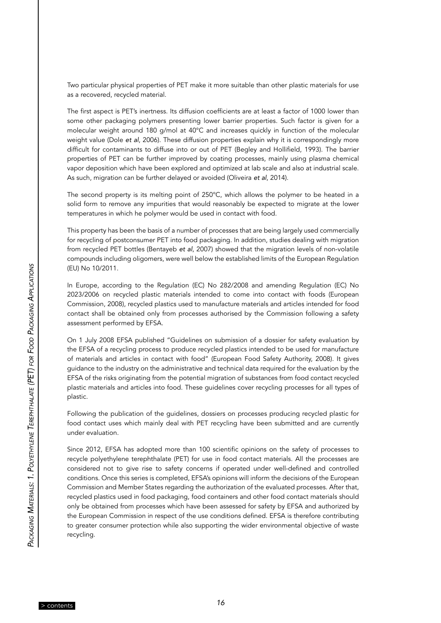Two particular physical properties of PET make it more suitable than other plastic materials for use as a recovered, recycled material.

The first aspect is PET's inertness. Its diffusion coefficients are at least a factor of 1000 lower than some other packaging polymers presenting lower barrier properties. Such factor is given for a molecular weight around 180 g/mol at 40°C and increases quickly in function of the molecular weight value (Dole *et al*, 2006). These diffusion properties explain why it is correspondingly more difficult for contaminants to diffuse into or out of PET (Begley and Hollifield, 1993). The barrier properties of PET can be further improved by coating processes, mainly using plasma chemical vapor deposition which have been explored and optimized at lab scale and also at industrial scale. As such, migration can be further delayed or avoided (Oliveira *et al*, 2014).

The second property is its melting point of 250°C, which allows the polymer to be heated in a solid form to remove any impurities that would reasonably be expected to migrate at the lower temperatures in which he polymer would be used in contact with food.

This property has been the basis of a number of processes that are being largely used commercially for recycling of postconsumer PET into food packaging. In addition, studies dealing with migration from recycled PET bottles (Bentayeb *et al*, 2007) showed that the migration levels of non-volatile compounds including oligomers, were well below the established limits of the European Regulation (EU) No 10/2011.

In Europe, according to the Regulation (EC) No 282/2008 and amending Regulation (EC) No 2023/2006 on recycled plastic materials intended to come into contact with foods (European Commission, 2008), recycled plastics used to manufacture materials and articles intended for food contact shall be obtained only from processes authorised by the Commission following a safety assessment performed by EFSA.

On 1 July 2008 EFSA published "Guidelines on submission of a dossier for safety evaluation by the EFSA of a recycling process to produce recycled plastics intended to be used for manufacture of materials and articles in contact with food" (European Food Safety Authority, 2008). It gives guidance to the industry on the administrative and technical data required for the evaluation by the EFSA of the risks originating from the potential migration of substances from food contact recycled plastic materials and articles into food. These guidelines cover recycling processes for all types of plastic.

Following the publication of the guidelines, dossiers on processes producing recycled plastic for food contact uses which mainly deal with PET recycling have been submitted and are currently under evaluation.

Since 2012, EFSA has adopted more than 100 scientific opinions on the safety of processes to recycle polyethylene terephthalate (PET) for use in food contact materials. All the processes are considered not to give rise to safety concerns if operated under well-defined and controlled conditions. Once this series is completed, EFSA's opinions will inform the decisions of the European Commission and Member States regarding the authorization of the evaluated processes. After that, recycled plastics used in food packaging, food containers and other food contact materials should only be obtained from processes which have been assessed for safety by EFSA and authorized by the European Commission in respect of the use conditions defined. EFSA is therefore contributing to greater consumer protection while also supporting the wider environmental objective of waste recycling.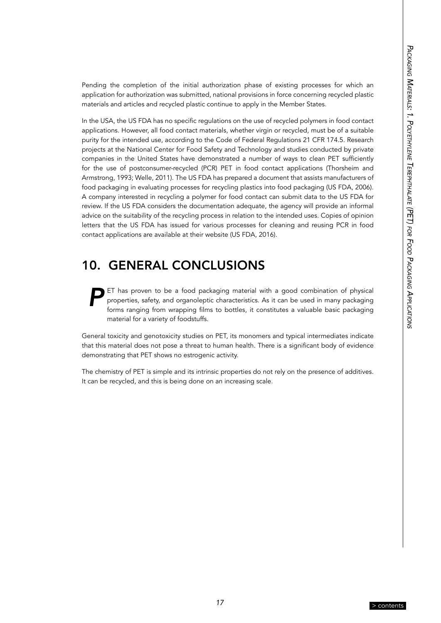<span id="page-18-0"></span>Pending the completion of the initial authorization phase of existing processes for which an application for authorization was submitted, national provisions in force concerning recycled plastic materials and articles and recycled plastic continue to apply in the Member States.

In the USA, the US FDA has no specific regulations on the use of recycled polymers in food contact applications. However, all food contact materials, whether virgin or recycled, must be of a suitable purity for the intended use, according to the Code of Federal Regulations 21 CFR 174.5. Research projects at the National Center for Food Safety and Technology and studies conducted by private companies in the United States have demonstrated a number of ways to clean PET sufficiently for the use of postconsumer-recycled (PCR) PET in food contact applications (Thorsheim and Armstrong, 1993; Welle, 2011). The US FDA has prepared a document that assists manufacturers of food packaging in evaluating processes for recycling plastics into food packaging (US FDA, 2006). A company interested in recycling a polymer for food contact can submit data to the US FDA for review. If the US FDA considers the documentation adequate, the agency will provide an informal advice on the suitability of the recycling process in relation to the intended uses. Copies of opinion letters that the US FDA has issued for various processes for cleaning and reusing PCR in food contact applications are available at their website (US FDA, 2016).

## 10. GENERAL CONCLUSIONS

*P*ET has proven to be a food packaging material with a good combination of physical properties, safety, and organoleptic characteristics. As it can be used in many packaging forms ranging from wrapping films to bottles, it constitutes a valuable basic packaging material for a variety of foodstuffs.

General toxicity and genotoxicity studies on PET, its monomers and typical intermediates indicate that this material does not pose a threat to human health. There is a significant body of evidence demonstrating that PET shows no estrogenic activity.

The chemistry of PET is simple and its intrinsic properties do not rely on the presence of additives. It can be recycled, and this is being done on an increasing scale.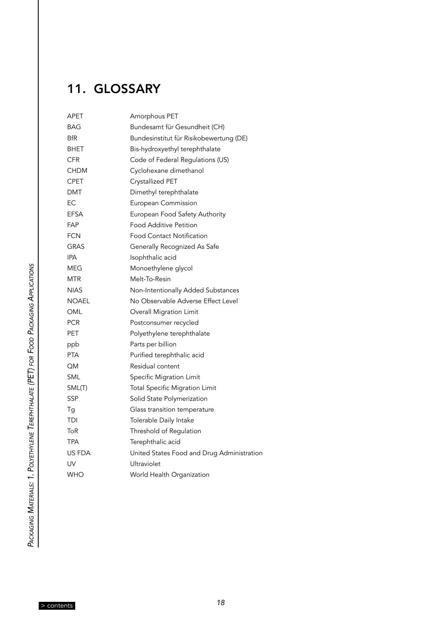## <span id="page-19-0"></span>11. GLOSSARY

| APET         | Amorphous PET                              |
|--------------|--------------------------------------------|
| BAG          | Bundesamt für Gesundheit (CH)              |
| <b>BfR</b>   | Bundesinstitut für Risikobewertung (DE)    |
| BHET         | Bis-hydroxyethyl terephthalate             |
| <b>CFR</b>   | Code of Federal Regulations (US)           |
| <b>CHDM</b>  | Cyclohexane dimethanol                     |
| CPET         | Crystallized PET                           |
| <b>DMT</b>   | Dimethyl terephthalate                     |
| EC           | European Commission                        |
| EFSA         | European Food Safety Authority             |
| FAP          | <b>Food Additive Petition</b>              |
| <b>FCN</b>   | <b>Food Contact Notification</b>           |
| GRAS         | Generally Recognized As Safe               |
| <b>IPA</b>   | Isophthalic acid                           |
| MEG          | Monoethylene glycol                        |
| MTR          | Melt-To-Resin                              |
| <b>NIAS</b>  | Non-Intentionally Added Substances         |
| <b>NOAEL</b> | No Observable Adverse Effect Level         |
| OML          | Overall Migration Limit                    |
| PCR          | Postconsumer recycled                      |
| PET          | Polyethylene terephthalate                 |
| ppb          | Parts per billion                          |
| <b>PTA</b>   | Purified terephthalic acid                 |
| QΜ           | Residual content                           |
| SML          | Specific Migration Limit                   |
| SML(T)       | <b>Total Specific Migration Limit</b>      |
| SSP          | Solid State Polymerization                 |
| Τg           | Glass transition temperature               |
| TDI          | Tolerable Daily Intake                     |
| ToR          | Threshold of Regulation                    |
| TPA          | Terephthalic acid                          |
| US FDA       | United States Food and Drug Administration |
| UV           | Ultraviolet                                |
| <b>WHO</b>   | World Health Organization                  |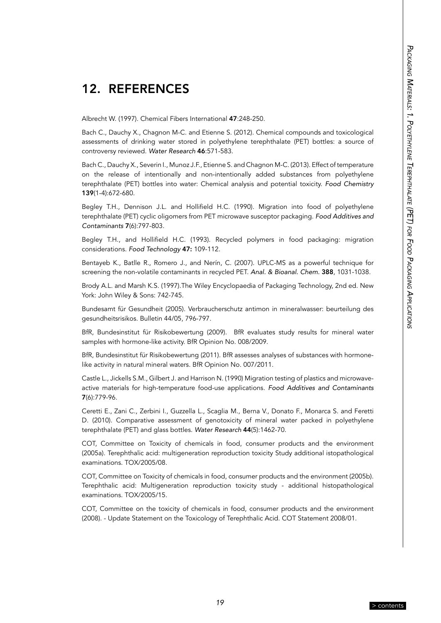## <span id="page-20-0"></span>12. REFERENCES

Albrecht W. (1997). Chemical Fibers International 47:248-250.

Bach C., Dauchy X., Chagnon M-C. and Etienne S. (2012). Chemical compounds and toxicological assessments of drinking water stored in polyethylene terephthalate (PET) bottles: a source of controversy reviewed. Water Research 46:571-583.

Bach C., Dauchy X., Severin I., Munoz J.F., Etienne S. and Chagnon M-C. (2013). Effect of temperature on the release of intentionally and non-intentionally added substances from polyethylene terephthalate (PET) bottles into water: Chemical analysis and potential toxicity. *Food Chemistry* 139(1-4):672-680.

Begley T.H., Dennison J.L. and Hollifield H.C. (1990). Migration into food of polyethylene terephthalate (PET) cyclic oligomers from PET microwave susceptor packaging. Food Additives and *Contaminants* 7(6):797-803.

Begley T.H., and Hollifield H.C. (1993). Recycled polymers in food packaging: migration considerations. *Food Technology* 47: 109-112.

Bentayeb K., Batlle R., Romero J., and Nerín, C. (2007). UPLC-MS as a powerful technique for screening the non-volatile contaminants in recycled PET. *Anal. & Bioanal. Chem.* 388, 1031-1038.

Brody A.L. and Marsh K.S. (1997).The Wiley Encyclopaedia of Packaging Technology, 2nd ed. New York: John Wiley & Sons: 742-745.

Bundesamt für Gesundheit (2005). Verbraucherschutz antimon in mineralwasser: beurteilung des gesundheitsrisikos. Bulletin 44/05, 796-797.

BfR, Bundesinstitut für Risikobewertung (2009). BfR evaluates study results for mineral water samples with hormone-like activity. BfR Opinion No. 008/2009.

BfR, Bundesinstitut für Risikobewertung (2011). BfR assesses analyses of substances with hormonelike activity in natural mineral waters. BfR Opinion No. 007/2011.

[Castle L.](http://www.ncbi.nlm.nih.gov/pubmed/?term=Castle L%5BAuthor%5D&cauthor=true&cauthor_uid=2150378), [Jickells S.M.](http://www.ncbi.nlm.nih.gov/pubmed/?term=Jickells SM%5BAuthor%5D&cauthor=true&cauthor_uid=2150378), [Gilbert J.](http://www.ncbi.nlm.nih.gov/pubmed/?term=Gilbert J%5BAuthor%5D&cauthor=true&cauthor_uid=2150378) and [Harrison N](http://www.ncbi.nlm.nih.gov/pubmed/?term=Harrison N%5BAuthor%5D&cauthor=true&cauthor_uid=2150378). (1990) Migration testing of plastics and microwaveactive materials for high-temperature food-use applications. Food Additives and Contaminants 7(6):779-96.

Ceretti E., Zani C., Zerbini I., Guzzella L., Scaglia M., Berna V., Donato F., Monarca S. and Feretti D. (2010). Comparative assessment of genotoxicity of mineral water packed in polyethylene terephthalate (PET) and glass bottles. [Water Research](http://www.ncbi.nlm.nih.gov/pubmed/19913274) 44(5):1462-70.

COT, Committee on Toxicity of chemicals in food, consumer products and the environment (2005a). Terephthalic acid: multigeneration reproduction toxicity Study additional istopathological examinations. TOX/2005/08.

COT, Committee on Toxicity of chemicals in food, consumer products and the environment (2005b). Terephthalic acid: Multigeneration reproduction toxicity study - additional histopathological examinations. TOX/2005/15.

COT, Committee on the toxicity of chemicals in food, consumer products and the environment (2008). - Update Statement on the Toxicology of Terephthalic Acid. COT Statement 2008/01.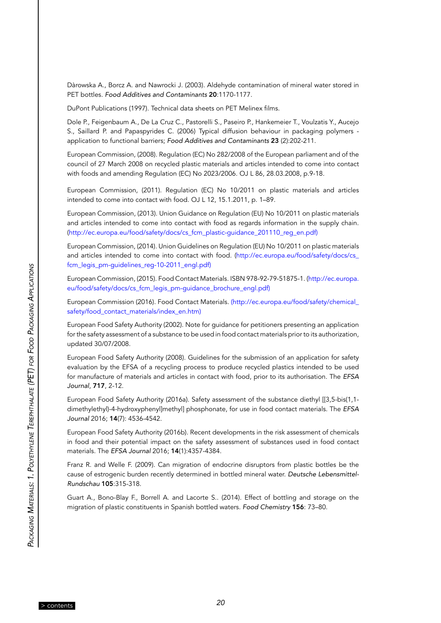Dàrowska A., Borcz A. and Nawrocki J. (2003). Aldehyde contamination of mineral water stored in PET bottles. Food Additives and Contaminants 20:1170-1177.

DuPont Publications (1997). Technical data sheets on PET Melinex films.

Dole P., Feigenbaum A., De La Cruz C., Pastorelli S., Paseiro P., Hankemeier T., Voulzatis Y., Aucejo S., Saillard P. and Papaspyrides C. (2006) Typical diffusion behaviour in packaging polymers application to functional barriers; Food Additives and Contaminants 23 (2):202-211.

European Commission, (2008). Regulation (EC) No 282/2008 of the European parliament and of the council of 27 March 2008 on recycled plastic materials and articles intended to come into contact with foods and amending Regulation (EC) No 2023/2006. OJ L 86, 28.03.2008, p.9-18.

European Commission, (2011). Regulation (EC) No 10/2011 on plastic materials and articles intended to come into contact with food. OJ L 12, 15.1.2011, p. 1–89.

European Commission, (2013). Union Guidance on Regulation (EU) No 10/2011 on plastic materials and articles intended to come into contact with food as regards information in the supply chain. ([http://ec.europa.eu/food/safety/docs/cs\\_fcm\\_plastic-guidance\\_201110\\_reg\\_en.pdf\)](http://ec.europa.eu/food/safety/docs/cs_fcm_plastic-guidance_201110_reg_en.pdf)

European Commission, (2014). Union Guidelines on Regulation (EU) No 10/2011 on plastic materials and articles intended to come into contact with food. [\(http://ec.europa.eu/food/safety/docs/cs\\_](http://ec.europa.eu/food/safety/docs/cs_fcm_legis_pm-guidelines_reg-10-2011_engl.pdf) [fcm\\_legis\\_pm-guidelines\\_reg-10-2011\\_engl.pdf\)](http://ec.europa.eu/food/safety/docs/cs_fcm_legis_pm-guidelines_reg-10-2011_engl.pdf)

European Commission, (2015). Food Contact Materials. ISBN 978-92-79-51875-1. ([http://ec.europa.](http://ec.europa.eu/food/safety/docs/cs_fcm_legis_pm-guidance_brochure_engl.pdf) [eu/food/safety/docs/cs\\_fcm\\_legis\\_pm-guidance\\_brochure\\_engl.pdf](http://ec.europa.eu/food/safety/docs/cs_fcm_legis_pm-guidance_brochure_engl.pdf))

European Commission (2016). Food Contact Materials. [\(http://ec.europa.eu/food/safety/chemical\\_](http://ec.europa.eu/food/safety/chemical_safety/food_contact_materials/index_en.htm) [safety/food\\_contact\\_materials/index\\_en.htm\)](http://ec.europa.eu/food/safety/chemical_safety/food_contact_materials/index_en.htm)

European Food Safety Authority (2002). Note for guidance for petitioners presenting an application for the safety assessment of a substance to be used in food contact materials prior to its authorization, updated 30/07/2008.

European Food Safety Authority (2008). Guidelines for the submission of an application for safety evaluation by the EFSA of a recycling process to produce recycled plastics intended to be used for manufacture of materials and articles in contact with food, prior to its authorisation. The *EFSA Journal*, 717, 2-12.

European Food Safety Authority (2016a). Safety assessment of the substance diethyl [[3,5-bis(1,1 dimethylethyl)-4-hydroxyphenyl]methyl] phosphonate, for use in food contact materials. The *EFSA Journal* 2016; 14(7): 4536-4542.

European Food Safety Authority (2016b). Recent developments in the risk assessment of chemicals in food and their potential impact on the safety assessment of substances used in food contact materials. The *EFSA Journal* 2016; 14(1):4357-4384.

Franz R. and Welle F. (2009). Can migration of endocrine disruptors from plastic bottles be the cause of estrogenic burden recently determined in bottled mineral water. *Deutsche Lebensmittel-*Rundschau 105:315-318.

Guart A., Bono-Blay F., Borrell A. and Lacorte S.. (2014). Effect of bottling and storage on the migration of plastic constituents in Spanish bottled waters. *Food Chemistry* 156: 73–80.

*20* [> contents](#page-4-0)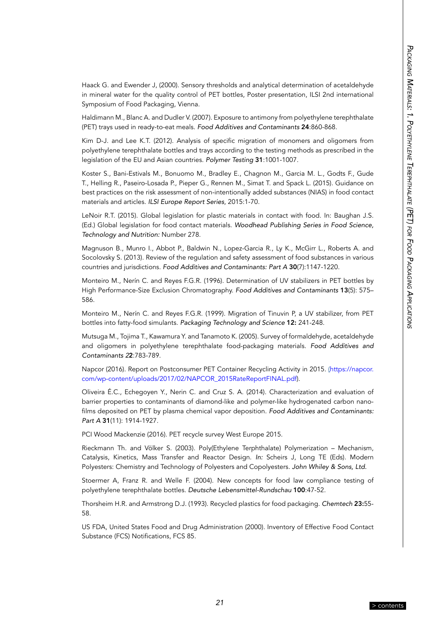Haack G. and Ewender J, (2000). Sensory thresholds and analytical determination of acetaldehyde in mineral water for the quality control of PET bottles, Poster presentation, ILSI 2nd international Symposium of Food Packaging, Vienna.

Haldimann M., Blanc A. and Dudler V. (2007). Exposure to antimony from polyethylene terephthalate (PET) trays used in ready-to-eat meals. Food Additives and Contaminants 24:860-868.

Kim D-J. and Lee K.T. (2012). Analysis of specific migration of monomers and oligomers from polyethylene terephthalate bottles and trays according to the testing methods as prescribed in the legislation of the EU and Asian countries. *Polymer Testing* 31:1001-1007.

Koster S., Bani-Estivals M., Bonuomo M., Bradley E., Chagnon M., Garcia M. L., Godts F., Gude T., Helling R., Paseiro-Losada P., Pieper G., Rennen M., Simat T. and Spack L. (2015). Guidance on best practices on the risk assessment of non-intentionally added substances (NIAS) in food contact materials and articles. ILSI Europe Report Series, 2015:1-70.

LeNoir R.T. (2015). Global legislation for plastic materials in contact with food. In: Baughan J.S. (Ed.) Global legislation for food contact materials. *Woodhead Publishing Series in Food Science, Technology and Nutrition:* Number 278.

Magnuson B., Munro I., Abbot P., Baldwin N., Lopez-Garcia R., Ly K., McGirr L., Roberts A. and Socolovsky S. (2013). Review of the regulation and safety assessment of food substances in various countries and jurisdictions. Food Additives and Contaminants: Part A 30(7):1147-1220.

Monteiro M., Nerín C. and Reyes F.G.R. (1996). Determination of UV stabilizers in PET bottles by High Performance-Size Exclusion Chromatography. Food Additives and Contaminants 13(5): 575– 586.

Monteiro M., Nerín C. and Reyes F.G.R. (1999). Migration of Tinuvin P, a UV stabilizer, from PET bottles into fatty-food simulants. *Packaging Technology and Science* 12: 241-248.

Mutsuga M., Tojima T., Kawamura Y. and Tanamoto K. (2005). Survey of formaldehyde, acetaldehyde and oligomers in polyethylene terephthalate food-packaging materials. Food Additives and *Contaminants 2*2:783-789.

Napcor (2016). Report on Postconsumer PET Container Recycling Activity in 2015. [\(https://napcor.](https://napcor.com/wp-content/uploads/2017/02/NAPCOR_2015RateReportFINAL.pdf) [com/wp-content/uploads/2017/02/NAPCOR\\_2015RateReportFINAL.pdf](https://napcor.com/wp-content/uploads/2017/02/NAPCOR_2015RateReportFINAL.pdf)).

Oliveira É.C., Echegoyen Y., Nerin C. and Cruz S. A. (2014). Characterization and evaluation of barrier properties to contaminants of diamond-like and polymer-like hydrogenated carbon nanofilms deposited on PET by plasma chemical vapor deposition. Food Additives and Contaminants: *Part A* 31(11): 1914-1927.

PCI Wood Mackenzie (2016). PET recycle survey West Europe 2015.

Rieckmann Th. and Völker S. (2003). Poly(Ethylene Terphthalate) Polymerization – Mechanism, Catalysis, Kinetics, Mass Transfer and Reactor Design. *In:* Scheirs J, Long TE (Eds). Modern Polyesters: Chemistry and Technology of Polyesters and Copolyesters. *John Whiley & Sons, Ltd.*

Stoermer A, Franz R. and Welle F. (2004). New concepts for food law compliance testing of polyethylene terephthalate bottles. Deutsche Lebensmittel-Rundschau 100:47-52.

Thorsheim H.R. and Armstrong D.J. (1993). Recycled plastics for food packaging. *Chemtech* 23:55- 58.

US FDA, United States Food and Drug Administration (2000). Inventory of Effective Food Contact Substance (FCS) Notifications, FCS 85.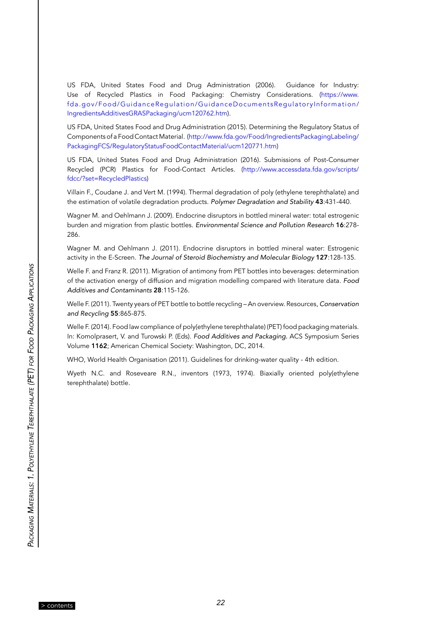US FDA, United States Food and Drug Administration (2006). Guidance for Industry: Use of Recycled Plastics in Food Packaging: Chemistry Considerations. ([https://www.](https://www.fda.gov/Food/GuidanceRegulation/GuidanceDocumentsRegulatoryInformation/IngredientsAdditivesGRASPackaging/ucm120762.htm) [fda.gov/Food/GuidanceRegulation/GuidanceDocumentsRegulatoryInformation/](https://www.fda.gov/Food/GuidanceRegulation/GuidanceDocumentsRegulatoryInformation/IngredientsAdditivesGRASPackaging/ucm120762.htm) [IngredientsAdditivesGRASPackaging/ucm120762.htm](https://www.fda.gov/Food/GuidanceRegulation/GuidanceDocumentsRegulatoryInformation/IngredientsAdditivesGRASPackaging/ucm120762.htm)).

US FDA, United States Food and Drug Administration (2015). Determining the Regulatory Status of Components of a Food Contact Material. ([http://www.fda.gov/Food/IngredientsPackagingLabeling/](http://www.fda.gov/Food/IngredientsPackagingLabeling/PackagingFCS/RegulatoryStatusFoodContactMaterial/ucm120771.htm) [PackagingFCS/RegulatoryStatusFoodContactMaterial/ucm120771.htm](http://www.fda.gov/Food/IngredientsPackagingLabeling/PackagingFCS/RegulatoryStatusFoodContactMaterial/ucm120771.htm))

US FDA, United States Food and Drug Administration (2016). Submissions of Post-Consumer Recycled (PCR) Plastics for Food-Contact Articles. ([http://www.accessdata.fda.gov/scripts/](http://www.accessdata.fda.gov/scripts/fdcc/?set=RecycledPlastics) [fdcc/?set=RecycledPlastics](http://www.accessdata.fda.gov/scripts/fdcc/?set=RecycledPlastics))

Villain F., Coudane J. and Vert M. (1994). Thermal degradation of poly (ethylene terephthalate) and the estimation of volatile degradation products. *Polymer Degradation and Stability* 43:431-440.

Wagner M. and Oehlmann J. (2009). Endocrine disruptors in bottled mineral water: total estrogenic burden and migration from plastic bottles. Environmental Science and Pollution Research 16:278- 286.

Wagner M. and Oehlmann J. (2011). Endocrine disruptors in bottled mineral water: Estrogenic activity in the E-Screen. *The Journal of Steroid Biochemistry and Molecular Biology* 127:128-135.

Welle F. and Franz R. (2011). Migration of antimony from PET bottles into beverages: determination of the activation energy of diffusion and migration modelling compared with literature data. *Food*  Additives and Contaminants 28:115-126.

Welle F. (2011). Twenty years of PET bottle to bottle recycling – An overview. Resources, Conservation and Recycling 55:865-875.

Welle F. (2014). Food law compliance of poly(ethylene terephthalate) (PET) food packaging materials. In: Komolprasert, V. and Turowski P. (Eds). Food Additives and Packaging. ACS Symposium Series Volume 1162; American Chemical Society: Washington, DC, 2014.

WHO, World Health Organisation (2011). Guidelines for drinking-water quality - 4th edition.

Wyeth N.C. and Roseveare R.N., inventors (1973, 1974). Biaxially oriented poly(ethylene terephthalate) bottle.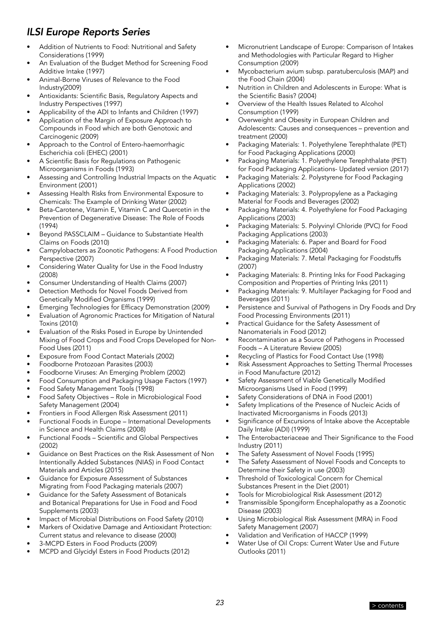## *ILSI Europe Reports Series*

- Addition of Nutrients to Food: Nutritional and Safety Considerations (1999)
- An Evaluation of the Budget Method for Screening Food Additive Intake (1997)
- Animal-Borne Viruses of Relevance to the Food Industry(2009)
- Antioxidants: Scientific Basis, Regulatory Aspects and Industry Perspectives (1997)
- Applicability of the ADI to Infants and Children (1997)
- Application of the Margin of Exposure Approach to Compounds in Food which are both Genotoxic and Carcinogenic (2009)
- Approach to the Control of Entero-haemorrhagic Escherichia coli (EHEC) (2001)
- A Scientific Basis for Regulations on Pathogenic Microorganisms in Foods (1993)
- Assessing and Controlling Industrial Impacts on the Aquatic Environment (2001)
- Assessing Health Risks from Environmental Exposure to Chemicals: The Example of Drinking Water (2002)
- Beta-Carotene, Vitamin E, Vitamin C and Quercetin in the Prevention of Degenerative Disease: The Role of Foods (1994)
- Beyond PASSCLAIM Guidance to Substantiate Health Claims on Foods (2010)
- Campylobacters as Zoonotic Pathogens: A Food Production Perspective (2007)
- Considering Water Quality for Use in the Food Industry (2008)
- Consumer Understanding of Health Claims (2007)
- Detection Methods for Novel Foods Derived from Genetically Modified Organisms (1999)
- Emerging Technologies for Efficacy Demonstration (2009)
- Evaluation of Agronomic Practices for Mitigation of Natural Toxins (2010)
- Evaluation of the Risks Posed in Europe by Unintended Mixing of Food Crops and Food Crops Developed for Non-Food Uses (2011)
- Exposure from Food Contact Materials (2002)
- Foodborne Protozoan Parasites (2003)
- Foodborne Viruses: An Emerging Problem (2002)
- Food Consumption and Packaging Usage Factors (1997)
- Food Safety Management Tools (1998)
- Food Safety Objectives Role in Microbiological Food Safety Management (2004)
- Frontiers in Food Allergen Risk Assessment (2011)
- Functional Foods in Europe International Developments in Science and Health Claims (2008)
- Functional Foods Scientific and Global Perspectives (2002)
- Guidance on Best Practices on the Risk Assessment of Non Intentionally Added Substances (NIAS) in Food Contact Materials and Articles (2015)
- Guidance for Exposure Assessment of Substances Migrating from Food Packaging materials (2007)
- Guidance for the Safety Assessment of Botanicals and Botanical Preparations for Use in Food and Food Supplements (2003)
- Impact of Microbial Distributions on Food Safety (2010)
- Markers of Oxidative Damage and Antioxidant Protection: Current status and relevance to disease (2000)
- 3-MCPD Esters in Food Products (2009)
- MCPD and Glycidyl Esters in Food Products (2012)
- Micronutrient Landscape of Europe: Comparison of Intakes and Methodologies with Particular Regard to Higher Consumption (2009)
- Mycobacterium avium subsp. paratuberculosis (MAP) and the Food Chain (2004)
- Nutrition in Children and Adolescents in Europe: What is the Scientific Basis? (2004)
- Overview of the Health Issues Related to Alcohol Consumption (1999)
- Overweight and Obesity in European Children and Adolescents: Causes and consequences – prevention and treatment (2000)
- Packaging Materials: 1. Polyethylene Terephthalate (PET) for Food Packaging Applications (2000)
- Packaging Materials: 1. Polyethylene Terephthalate (PET) for Food Packaging Applications- Updated version (2017)
- Packaging Materials: 2. Polystyrene for Food Packaging Applications (2002)
- Packaging Materials: 3. Polypropylene as a Packaging Material for Foods and Beverages (2002)
- Packaging Materials: 4. Polyethylene for Food Packaging Applications (2003)
- Packaging Materials: 5. Polyvinyl Chloride (PVC) for Food Packaging Applications (2003)
- Packaging Materials: 6. Paper and Board for Food Packaging Applications (2004)
- Packaging Materials: 7. Metal Packaging for Foodstuffs (2007)
- Packaging Materials: 8. Printing Inks for Food Packaging Composition and Properties of Printing Inks (2011)
- Packaging Materials: 9. Multilayer Packaging for Food and Beverages (2011)
- Persistence and Survival of Pathogens in Dry Foods and Dry Food Processing Environments (2011)
- Practical Guidance for the Safety Assessment of Nanomaterials in Food (2012)
- Recontamination as a Source of Pathogens in Processed Foods – A Literature Review (2005)
- Recycling of Plastics for Food Contact Use (1998)
- Risk Assessment Approaches to Setting Thermal Processes in Food Manufacture (2012)
- Safety Assessment of Viable Genetically Modified Microorganisms Used in Food (1999)
- Safety Considerations of DNA in Food (2001)
- Safety Implications of the Presence of Nucleic Acids of Inactivated Microorganisms in Foods (2013)
- Significance of Excursions of Intake above the Acceptable Daily Intake (ADI) (1999)
- The Enterobacteriaceae and Their Significance to the Food Industry (2011)
- The Safety Assessment of Novel Foods (1995)
- The Safety Assessment of Novel Foods and Concepts to Determine their Safety in use (2003)
- Threshold of Toxicological Concern for Chemical Substances Present in the Diet (2001)
- Tools for Microbiological Risk Assessment (2012)
- Transmissible Spongiform Encephalopathy as a Zoonotic Disease (2003)
- Using Microbiological Risk Assessment (MRA) in Food Safety Management (2007)
- Validation and Verification of HACCP (1999)
- Water Use of Oil Crops: Current Water Use and Future Outlooks (2011)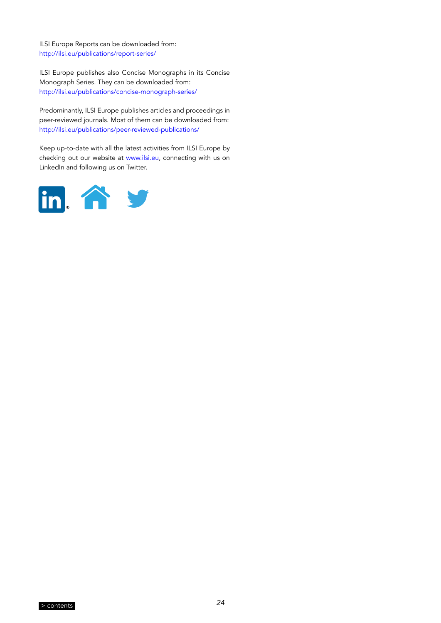ILSI Europe Reports can be downloaded from: <http://ilsi.eu/publications/report-series/>

ILSI Europe publishes also Concise Monographs in its Concise Monograph Series. They can be downloaded from: <http://ilsi.eu/publications/concise-monograph-series/>

Predominantly, ILSI Europe publishes articles and proceedings in peer-reviewed journals. Most of them can be downloaded from: <http://ilsi.eu/publications/peer-reviewed-publications/>

Keep up-to-date with all the latest activities from ILSI Europe by checking out our website at [www.ilsi.eu,](www.ilsi.eu) connecting with us on LinkedIn and following us on Twitter.